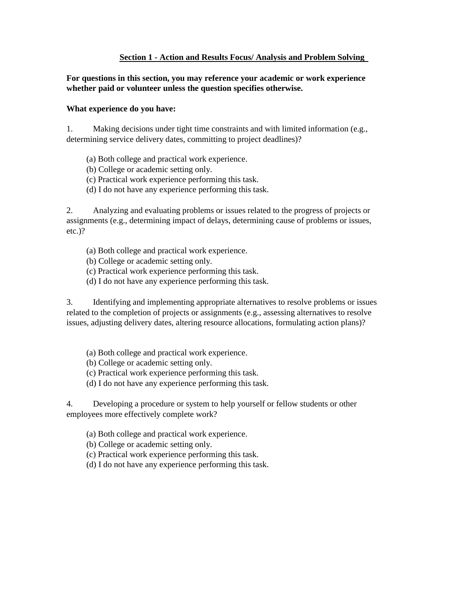# **Section 1 - Action and Results Focus/ Analysis and Problem Solving**

**For questions in this section, you may reference your academic or work experience whether paid or volunteer unless the question specifies otherwise.** 

### **What experience do you have:**

1. Making decisions under tight time constraints and with limited information (e.g., determining service delivery dates, committing to project deadlines)?

- (a) Both college and practical work experience.
- (b) College or academic setting only.
- (c) Practical work experience performing this task.
- (d) I do not have any experience performing this task.

2. Analyzing and evaluating problems or issues related to the progress of projects or assignments (e.g., determining impact of delays, determining cause of problems or issues, etc.)?

- (a) Both college and practical work experience.
- (b) College or academic setting only.
- (c) Practical work experience performing this task.
- (d) I do not have any experience performing this task.

3. Identifying and implementing appropriate alternatives to resolve problems or issues related to the completion of projects or assignments (e.g., assessing alternatives to resolve issues, adjusting delivery dates, altering resource allocations, formulating action plans)?

- (a) Both college and practical work experience.
- (b) College or academic setting only.
- (c) Practical work experience performing this task.
- (d) I do not have any experience performing this task.

4. Developing a procedure or system to help yourself or fellow students or other employees more effectively complete work?

- (a) Both college and practical work experience.
- (b) College or academic setting only.
- (c) Practical work experience performing this task.
- (d) I do not have any experience performing this task.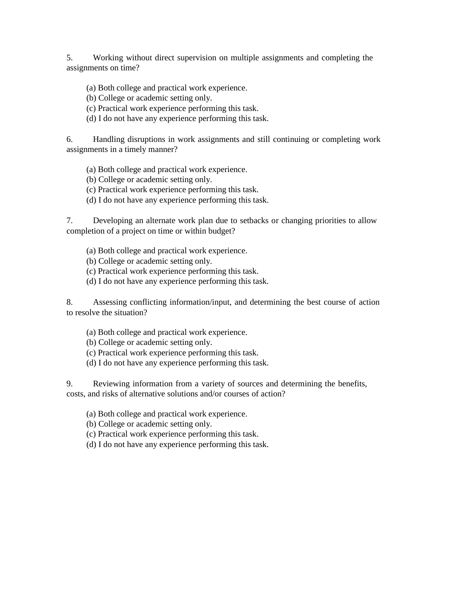5. Working without direct supervision on multiple assignments and completing the assignments on time?

(a) Both college and practical work experience.

(b) College or academic setting only.

(c) Practical work experience performing this task.

(d) I do not have any experience performing this task.

6. Handling disruptions in work assignments and still continuing or completing work assignments in a timely manner?

(a) Both college and practical work experience.

(b) College or academic setting only.

(c) Practical work experience performing this task.

(d) I do not have any experience performing this task.

7. Developing an alternate work plan due to setbacks or changing priorities to allow completion of a project on time or within budget?

(a) Both college and practical work experience.

(b) College or academic setting only.

(c) Practical work experience performing this task.

(d) I do not have any experience performing this task.

8. Assessing conflicting information/input, and determining the best course of action to resolve the situation?

(a) Both college and practical work experience.

(b) College or academic setting only.

(c) Practical work experience performing this task.

(d) I do not have any experience performing this task.

9. Reviewing information from a variety of sources and determining the benefits, costs, and risks of alternative solutions and/or courses of action?

(a) Both college and practical work experience.

(b) College or academic setting only.

(c) Practical work experience performing this task.

(d) I do not have any experience performing this task.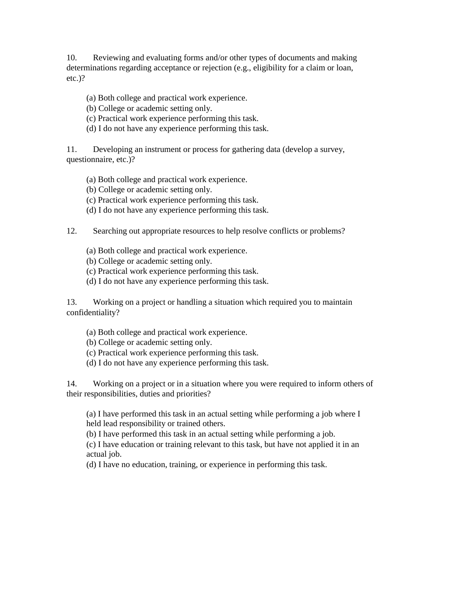10. Reviewing and evaluating forms and/or other types of documents and making determinations regarding acceptance or rejection (e.g., eligibility for a claim or loan, etc.)?

- (a) Both college and practical work experience.
- (b) College or academic setting only.
- (c) Practical work experience performing this task.
- (d) I do not have any experience performing this task.

11. Developing an instrument or process for gathering data (develop a survey, questionnaire, etc.)?

- (a) Both college and practical work experience.
- (b) College or academic setting only.
- (c) Practical work experience performing this task.
- (d) I do not have any experience performing this task.
- 12. Searching out appropriate resources to help resolve conflicts or problems?
	- (a) Both college and practical work experience.
	- (b) College or academic setting only.
	- (c) Practical work experience performing this task.
	- (d) I do not have any experience performing this task.

13. Working on a project or handling a situation which required you to maintain confidentiality?

- (a) Both college and practical work experience.
- (b) College or academic setting only.
- (c) Practical work experience performing this task.
- (d) I do not have any experience performing this task.

14. Working on a project or in a situation where you were required to inform others of their responsibilities, duties and priorities?

(a) I have performed this task in an actual setting while performing a job where I held lead responsibility or trained others.

(b) I have performed this task in an actual setting while performing a job.

(c) I have education or training relevant to this task, but have not applied it in an actual job.

(d) I have no education, training, or experience in performing this task.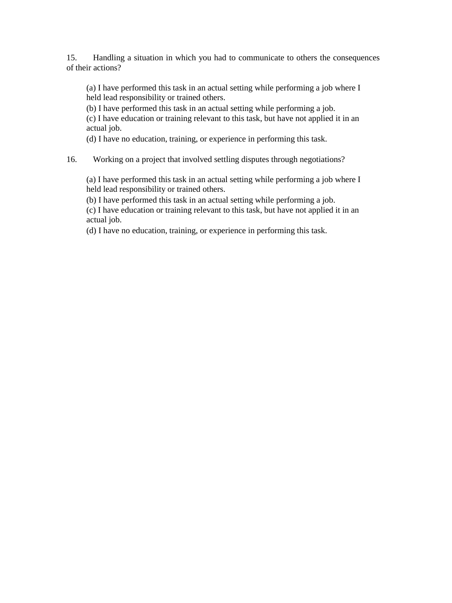15. Handling a situation in which you had to communicate to others the consequences of their actions?

(a) I have performed this task in an actual setting while performing a job where I held lead responsibility or trained others.

(b) I have performed this task in an actual setting while performing a job.

(c) I have education or training relevant to this task, but have not applied it in an actual job.

(d) I have no education, training, or experience in performing this task.

# 16. Working on a project that involved settling disputes through negotiations?

(a) I have performed this task in an actual setting while performing a job where I held lead responsibility or trained others.

(b) I have performed this task in an actual setting while performing a job.

(c) I have education or training relevant to this task, but have not applied it in an actual job.

(d) I have no education, training, or experience in performing this task.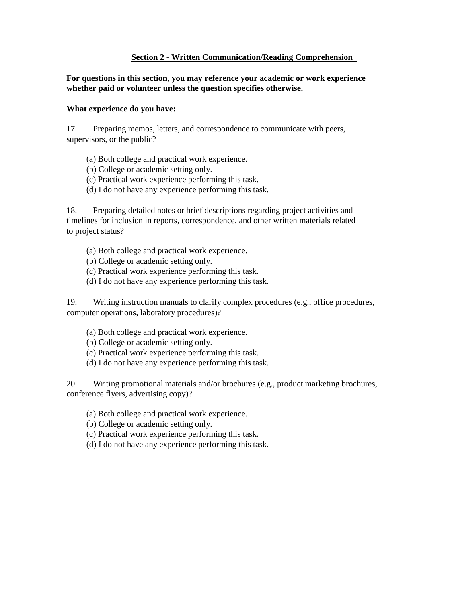### **Section 2 - Written Communication/Reading Comprehension**

**For questions in this section, you may reference your academic or work experience whether paid or volunteer unless the question specifies otherwise.** 

### **What experience do you have:**

17. Preparing memos, letters, and correspondence to communicate with peers, supervisors, or the public?

- (a) Both college and practical work experience.
- (b) College or academic setting only.
- (c) Practical work experience performing this task.
- (d) I do not have any experience performing this task.

18. Preparing detailed notes or brief descriptions regarding project activities and timelines for inclusion in reports, correspondence, and other written materials related to project status?

- (a) Both college and practical work experience.
- (b) College or academic setting only.
- (c) Practical work experience performing this task.
- (d) I do not have any experience performing this task.

19. Writing instruction manuals to clarify complex procedures (e.g., office procedures, computer operations, laboratory procedures)?

- (a) Both college and practical work experience.
- (b) College or academic setting only.
- (c) Practical work experience performing this task.
- (d) I do not have any experience performing this task.

20. Writing promotional materials and/or brochures (e.g., product marketing brochures, conference flyers, advertising copy)?

- (a) Both college and practical work experience.
- (b) College or academic setting only.
- (c) Practical work experience performing this task.
- (d) I do not have any experience performing this task.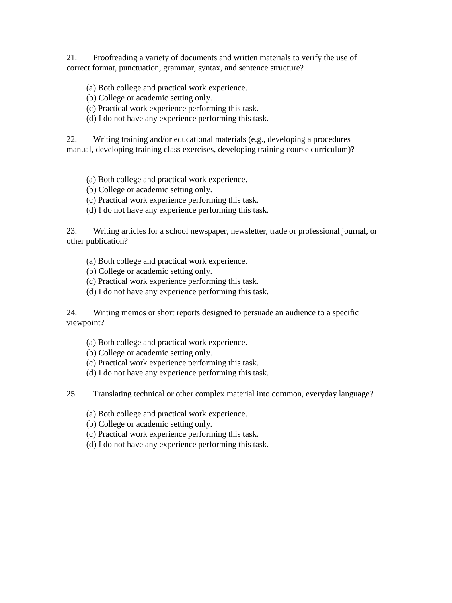21. Proofreading a variety of documents and written materials to verify the use of correct format, punctuation, grammar, syntax, and sentence structure?

- (a) Both college and practical work experience.
- (b) College or academic setting only.
- (c) Practical work experience performing this task.
- (d) I do not have any experience performing this task.

22. Writing training and/or educational materials (e.g., developing a procedures manual, developing training class exercises, developing training course curriculum)?

- (a) Both college and practical work experience.
- (b) College or academic setting only.
- (c) Practical work experience performing this task.
- (d) I do not have any experience performing this task.

23. Writing articles for a school newspaper, newsletter, trade or professional journal, or other publication?

- (a) Both college and practical work experience.
- (b) College or academic setting only.
- (c) Practical work experience performing this task.
- (d) I do not have any experience performing this task.

24. Writing memos or short reports designed to persuade an audience to a specific viewpoint?

- (a) Both college and practical work experience.
- (b) College or academic setting only.
- (c) Practical work experience performing this task.
- (d) I do not have any experience performing this task.

25. Translating technical or other complex material into common, everyday language?

- (a) Both college and practical work experience.
- (b) College or academic setting only.
- (c) Practical work experience performing this task.
- (d) I do not have any experience performing this task.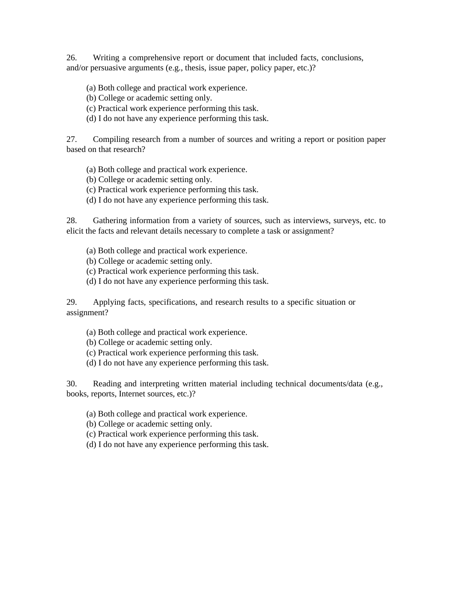26. Writing a comprehensive report or document that included facts, conclusions, and/or persuasive arguments (e.g., thesis, issue paper, policy paper, etc.)?

(a) Both college and practical work experience.

(b) College or academic setting only.

(c) Practical work experience performing this task.

(d) I do not have any experience performing this task.

27. Compiling research from a number of sources and writing a report or position paper based on that research?

(a) Both college and practical work experience.

(b) College or academic setting only.

(c) Practical work experience performing this task.

(d) I do not have any experience performing this task.

28. Gathering information from a variety of sources, such as interviews, surveys, etc. to elicit the facts and relevant details necessary to complete a task or assignment?

- (a) Both college and practical work experience.
- (b) College or academic setting only.
- (c) Practical work experience performing this task.
- (d) I do not have any experience performing this task.

29. Applying facts, specifications, and research results to a specific situation or assignment?

- (a) Both college and practical work experience.
- (b) College or academic setting only.
- (c) Practical work experience performing this task.
- (d) I do not have any experience performing this task.

30. Reading and interpreting written material including technical documents/data (e.g., books, reports, Internet sources, etc.)?

- (a) Both college and practical work experience.
- (b) College or academic setting only.
- (c) Practical work experience performing this task.
- (d) I do not have any experience performing this task.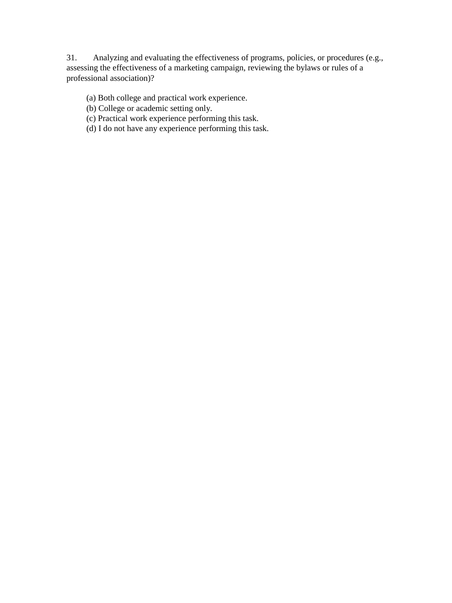31. Analyzing and evaluating the effectiveness of programs, policies, or procedures (e.g., assessing the effectiveness of a marketing campaign, reviewing the bylaws or rules of a professional association)?

(a) Both college and practical work experience.

(b) College or academic setting only.

(c) Practical work experience performing this task.

(d) I do not have any experience performing this task.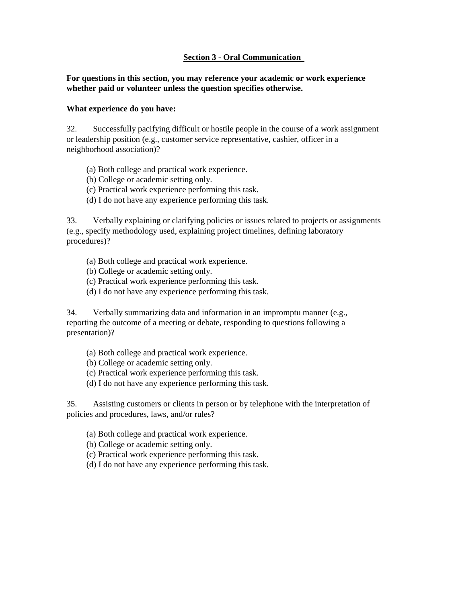# **Section 3 - Oral Communication**

# **For questions in this section, you may reference your academic or work experience whether paid or volunteer unless the question specifies otherwise.**

### **What experience do you have:**

32. Successfully pacifying difficult or hostile people in the course of a work assignment or leadership position (e.g., customer service representative, cashier, officer in a neighborhood association)?

- (a) Both college and practical work experience.
- (b) College or academic setting only.
- (c) Practical work experience performing this task.
- (d) I do not have any experience performing this task.

33. Verbally explaining or clarifying policies or issues related to projects or assignments (e.g., specify methodology used, explaining project timelines, defining laboratory procedures)?

- (a) Both college and practical work experience.
- (b) College or academic setting only.
- (c) Practical work experience performing this task.
- (d) I do not have any experience performing this task.

34. Verbally summarizing data and information in an impromptu manner (e.g., reporting the outcome of a meeting or debate, responding to questions following a presentation)?

- (a) Both college and practical work experience.
- (b) College or academic setting only.
- (c) Practical work experience performing this task.
- (d) I do not have any experience performing this task.

35. Assisting customers or clients in person or by telephone with the interpretation of policies and procedures, laws, and/or rules?

- (a) Both college and practical work experience.
- (b) College or academic setting only.
- (c) Practical work experience performing this task.
- (d) I do not have any experience performing this task.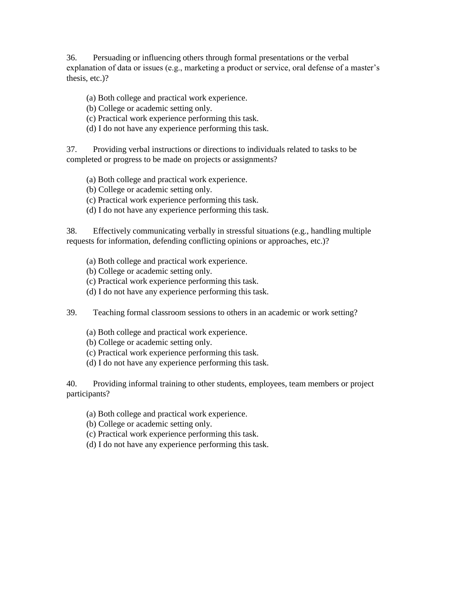36. Persuading or influencing others through formal presentations or the verbal explanation of data or issues (e.g., marketing a product or service, oral defense of a master's thesis, etc.)?

(a) Both college and practical work experience.

- (b) College or academic setting only.
- (c) Practical work experience performing this task.
- (d) I do not have any experience performing this task.

37. Providing verbal instructions or directions to individuals related to tasks to be completed or progress to be made on projects or assignments?

- (a) Both college and practical work experience.
- (b) College or academic setting only.
- (c) Practical work experience performing this task.
- (d) I do not have any experience performing this task.

38. Effectively communicating verbally in stressful situations (e.g., handling multiple requests for information, defending conflicting opinions or approaches, etc.)?

- (a) Both college and practical work experience.
- (b) College or academic setting only.
- (c) Practical work experience performing this task.
- (d) I do not have any experience performing this task.

39. Teaching formal classroom sessions to others in an academic or work setting?

- (a) Both college and practical work experience.
- (b) College or academic setting only.
- (c) Practical work experience performing this task.
- (d) I do not have any experience performing this task.

40. Providing informal training to other students, employees, team members or project participants?

- (a) Both college and practical work experience.
- (b) College or academic setting only.
- (c) Practical work experience performing this task.
- (d) I do not have any experience performing this task.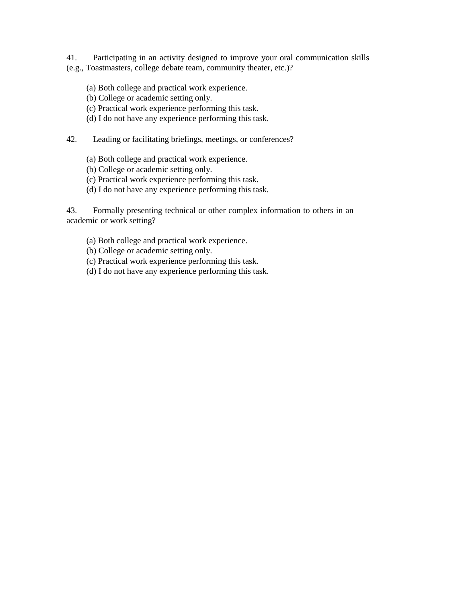41. Participating in an activity designed to improve your oral communication skills (e.g., Toastmasters, college debate team, community theater, etc.)?

- (a) Both college and practical work experience.
- (b) College or academic setting only.
- (c) Practical work experience performing this task.
- (d) I do not have any experience performing this task.
- 42. Leading or facilitating briefings, meetings, or conferences?
	- (a) Both college and practical work experience.
	- (b) College or academic setting only.
	- (c) Practical work experience performing this task.
	- (d) I do not have any experience performing this task.

43. Formally presenting technical or other complex information to others in an academic or work setting?

- (a) Both college and practical work experience.
- (b) College or academic setting only.
- (c) Practical work experience performing this task.
- (d) I do not have any experience performing this task.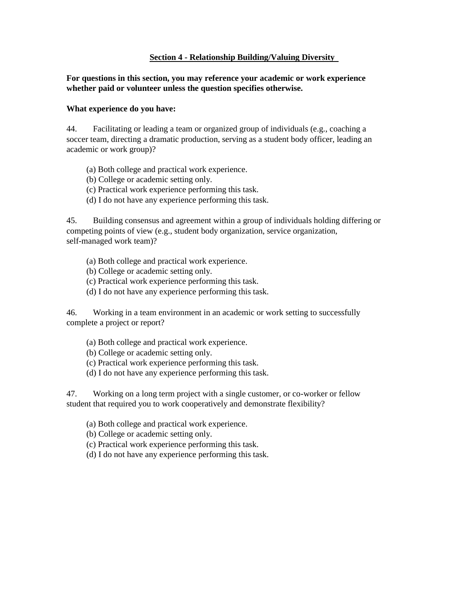### **Section 4 - Relationship Building/Valuing Diversity**

**For questions in this section, you may reference your academic or work experience whether paid or volunteer unless the question specifies otherwise.** 

### **What experience do you have:**

44. Facilitating or leading a team or organized group of individuals (e.g., coaching a soccer team, directing a dramatic production, serving as a student body officer, leading an academic or work group)?

- (a) Both college and practical work experience.
- (b) College or academic setting only.
- (c) Practical work experience performing this task.
- (d) I do not have any experience performing this task.

45. Building consensus and agreement within a group of individuals holding differing or competing points of view (e.g., student body organization, service organization, self-managed work team)?

- (a) Both college and practical work experience.
- (b) College or academic setting only.
- (c) Practical work experience performing this task.
- (d) I do not have any experience performing this task.

46. Working in a team environment in an academic or work setting to successfully complete a project or report?

- (a) Both college and practical work experience.
- (b) College or academic setting only.
- (c) Practical work experience performing this task.
- (d) I do not have any experience performing this task.

47. Working on a long term project with a single customer, or co-worker or fellow student that required you to work cooperatively and demonstrate flexibility?

- (a) Both college and practical work experience.
- (b) College or academic setting only.
- (c) Practical work experience performing this task.
- (d) I do not have any experience performing this task.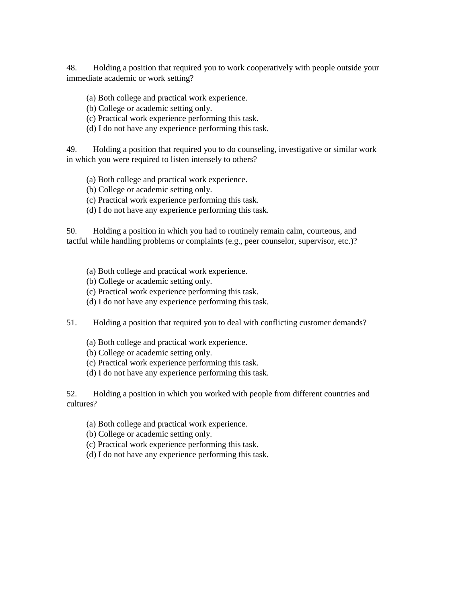48. Holding a position that required you to work cooperatively with people outside your immediate academic or work setting?

(a) Both college and practical work experience.

(b) College or academic setting only.

(c) Practical work experience performing this task.

(d) I do not have any experience performing this task.

49. Holding a position that required you to do counseling, investigative or similar work in which you were required to listen intensely to others?

(a) Both college and practical work experience.

(b) College or academic setting only.

(c) Practical work experience performing this task.

(d) I do not have any experience performing this task.

50. Holding a position in which you had to routinely remain calm, courteous, and tactful while handling problems or complaints (e.g., peer counselor, supervisor, etc.)?

(a) Both college and practical work experience.

(b) College or academic setting only.

(c) Practical work experience performing this task.

(d) I do not have any experience performing this task.

51. Holding a position that required you to deal with conflicting customer demands?

(a) Both college and practical work experience.

(b) College or academic setting only.

(c) Practical work experience performing this task.

(d) I do not have any experience performing this task.

52. Holding a position in which you worked with people from different countries and cultures?

(a) Both college and practical work experience.

(b) College or academic setting only.

(c) Practical work experience performing this task.

(d) I do not have any experience performing this task.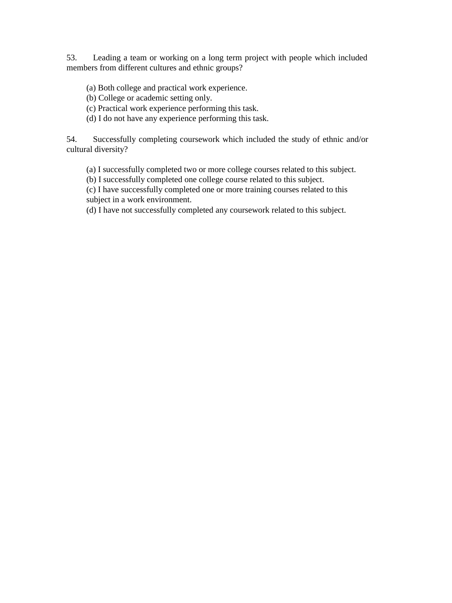53. Leading a team or working on a long term project with people which included members from different cultures and ethnic groups?

- (a) Both college and practical work experience.
- (b) College or academic setting only.
- (c) Practical work experience performing this task.
- (d) I do not have any experience performing this task.

54. Successfully completing coursework which included the study of ethnic and/or cultural diversity?

- (a) I successfully completed two or more college courses related to this subject.
- (b) I successfully completed one college course related to this subject.

(c) I have successfully completed one or more training courses related to this subject in a work environment.

(d) I have not successfully completed any coursework related to this subject.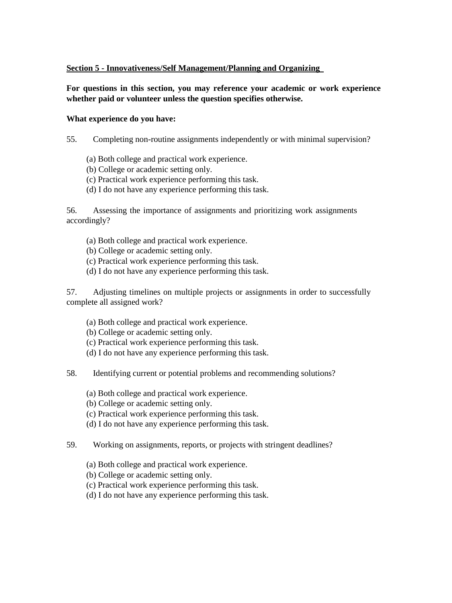# **Section 5 - Innovativeness/Self Management/Planning and Organizing**

**For questions in this section, you may reference your academic or work experience whether paid or volunteer unless the question specifies otherwise.** 

### **What experience do you have:**

- 55. Completing non-routine assignments independently or with minimal supervision?
	- (a) Both college and practical work experience.
	- (b) College or academic setting only.
	- (c) Practical work experience performing this task.
	- (d) I do not have any experience performing this task.

56. Assessing the importance of assignments and prioritizing work assignments accordingly?

- (a) Both college and practical work experience.
- (b) College or academic setting only.
- (c) Practical work experience performing this task.
- (d) I do not have any experience performing this task.

57. Adjusting timelines on multiple projects or assignments in order to successfully complete all assigned work?

- (a) Both college and practical work experience.
- (b) College or academic setting only.
- (c) Practical work experience performing this task.
- (d) I do not have any experience performing this task.
- 58. Identifying current or potential problems and recommending solutions?
	- (a) Both college and practical work experience.
	- (b) College or academic setting only.
	- (c) Practical work experience performing this task.
	- (d) I do not have any experience performing this task.
- 59. Working on assignments, reports, or projects with stringent deadlines?
	- (a) Both college and practical work experience.
	- (b) College or academic setting only.
	- (c) Practical work experience performing this task.
	- (d) I do not have any experience performing this task.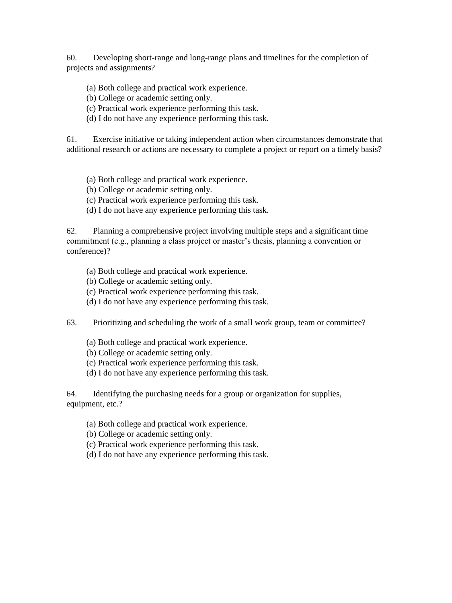60. Developing short-range and long-range plans and timelines for the completion of projects and assignments?

- (a) Both college and practical work experience.
- (b) College or academic setting only.
- (c) Practical work experience performing this task.
- (d) I do not have any experience performing this task.

61. Exercise initiative or taking independent action when circumstances demonstrate that additional research or actions are necessary to complete a project or report on a timely basis?

- (a) Both college and practical work experience.
- (b) College or academic setting only.
- (c) Practical work experience performing this task.
- (d) I do not have any experience performing this task.

62. Planning a comprehensive project involving multiple steps and a significant time commitment (e.g., planning a class project or master's thesis, planning a convention or conference)?

- (a) Both college and practical work experience.
- (b) College or academic setting only.
- (c) Practical work experience performing this task.
- (d) I do not have any experience performing this task.
- 63. Prioritizing and scheduling the work of a small work group, team or committee?
	- (a) Both college and practical work experience.
	- (b) College or academic setting only.
	- (c) Practical work experience performing this task.
	- (d) I do not have any experience performing this task.

64. Identifying the purchasing needs for a group or organization for supplies, equipment, etc.?

- (a) Both college and practical work experience.
- (b) College or academic setting only.
- (c) Practical work experience performing this task.
- (d) I do not have any experience performing this task.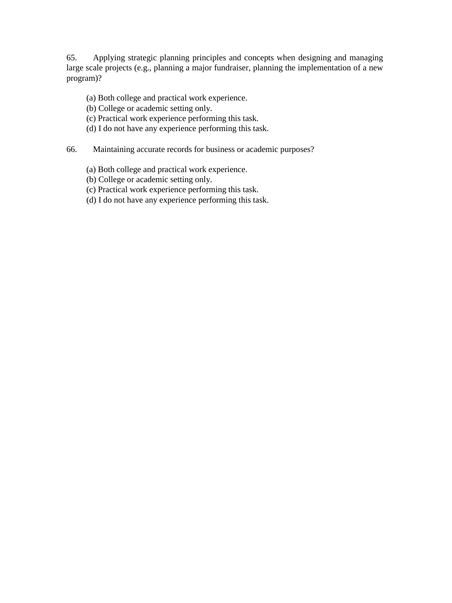65. Applying strategic planning principles and concepts when designing and managing large scale projects (e.g., planning a major fundraiser, planning the implementation of a new program)?

- (a) Both college and practical work experience.
- (b) College or academic setting only.
- (c) Practical work experience performing this task.
- (d) I do not have any experience performing this task.
- 66. Maintaining accurate records for business or academic purposes?
	- (a) Both college and practical work experience.
	- (b) College or academic setting only.
	- (c) Practical work experience performing this task.
	- (d) I do not have any experience performing this task.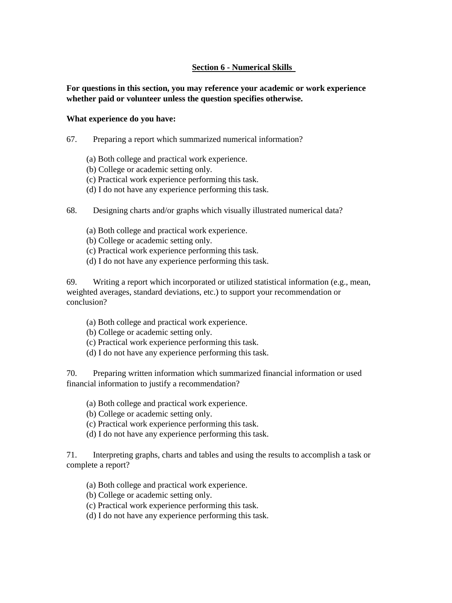# **Section 6 - Numerical Skills**

**For questions in this section, you may reference your academic or work experience whether paid or volunteer unless the question specifies otherwise.** 

#### **What experience do you have:**

- 67. Preparing a report which summarized numerical information?
	- (a) Both college and practical work experience.
	- (b) College or academic setting only.
	- (c) Practical work experience performing this task.
	- (d) I do not have any experience performing this task.
- 68. Designing charts and/or graphs which visually illustrated numerical data?
	- (a) Both college and practical work experience.
	- (b) College or academic setting only.
	- (c) Practical work experience performing this task.
	- (d) I do not have any experience performing this task.

69. Writing a report which incorporated or utilized statistical information (e.g., mean, weighted averages, standard deviations, etc.) to support your recommendation or conclusion?

- (a) Both college and practical work experience.
- (b) College or academic setting only.
- (c) Practical work experience performing this task.
- (d) I do not have any experience performing this task.

70. Preparing written information which summarized financial information or used financial information to justify a recommendation?

- (a) Both college and practical work experience.
- (b) College or academic setting only.
- (c) Practical work experience performing this task.
- (d) I do not have any experience performing this task.

71. Interpreting graphs, charts and tables and using the results to accomplish a task or complete a report?

- (a) Both college and practical work experience.
- (b) College or academic setting only.
- (c) Practical work experience performing this task.
- (d) I do not have any experience performing this task.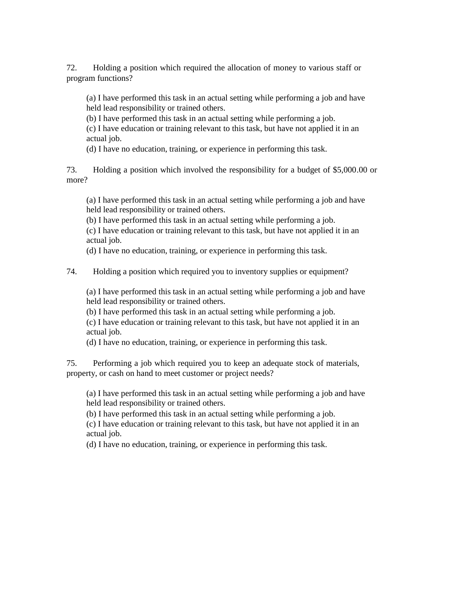72. Holding a position which required the allocation of money to various staff or program functions?

(a) I have performed this task in an actual setting while performing a job and have held lead responsibility or trained others.

(b) I have performed this task in an actual setting while performing a job.

(c) I have education or training relevant to this task, but have not applied it in an actual job.

(d) I have no education, training, or experience in performing this task.

73. Holding a position which involved the responsibility for a budget of \$5,000.00 or more?

(a) I have performed this task in an actual setting while performing a job and have held lead responsibility or trained others.

(b) I have performed this task in an actual setting while performing a job.

(c) I have education or training relevant to this task, but have not applied it in an actual job.

(d) I have no education, training, or experience in performing this task.

74. Holding a position which required you to inventory supplies or equipment?

(a) I have performed this task in an actual setting while performing a job and have held lead responsibility or trained others.

(b) I have performed this task in an actual setting while performing a job.

(c) I have education or training relevant to this task, but have not applied it in an actual job.

(d) I have no education, training, or experience in performing this task.

75. Performing a job which required you to keep an adequate stock of materials, property, or cash on hand to meet customer or project needs?

(a) I have performed this task in an actual setting while performing a job and have held lead responsibility or trained others.

(b) I have performed this task in an actual setting while performing a job.

(c) I have education or training relevant to this task, but have not applied it in an actual job.

(d) I have no education, training, or experience in performing this task.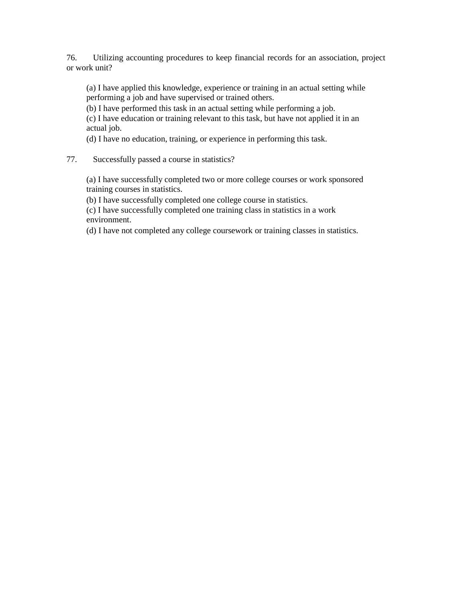76. Utilizing accounting procedures to keep financial records for an association, project or work unit?

(a) I have applied this knowledge, experience or training in an actual setting while performing a job and have supervised or trained others.

(b) I have performed this task in an actual setting while performing a job.

(c) I have education or training relevant to this task, but have not applied it in an actual job.

(d) I have no education, training, or experience in performing this task.

# 77. Successfully passed a course in statistics?

(a) I have successfully completed two or more college courses or work sponsored training courses in statistics.

(b) I have successfully completed one college course in statistics.

(c) I have successfully completed one training class in statistics in a work environment.

(d) I have not completed any college coursework or training classes in statistics.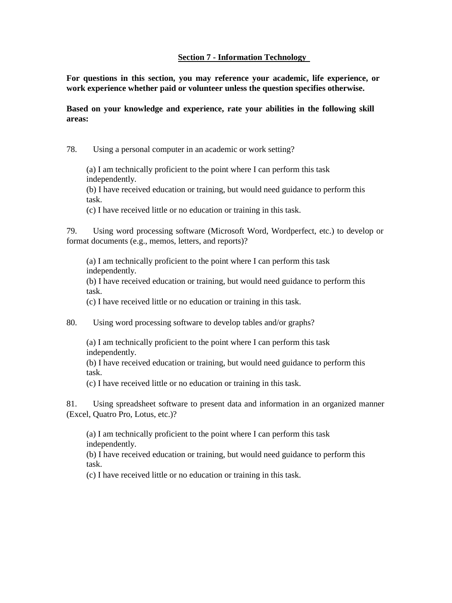### **Section 7 - Information Technology**

**For questions in this section, you may reference your academic, life experience, or work experience whether paid or volunteer unless the question specifies otherwise.** 

**Based on your knowledge and experience, rate your abilities in the following skill areas:** 

78. Using a personal computer in an academic or work setting?

(a) I am technically proficient to the point where I can perform this task independently.

(b) I have received education or training, but would need guidance to perform this task.

(c) I have received little or no education or training in this task.

79. Using word processing software (Microsoft Word, Wordperfect, etc.) to develop or format documents (e.g., memos, letters, and reports)?

(a) I am technically proficient to the point where I can perform this task independently.

(b) I have received education or training, but would need guidance to perform this task.

(c) I have received little or no education or training in this task.

80. Using word processing software to develop tables and/or graphs?

(a) I am technically proficient to the point where I can perform this task independently.

(b) I have received education or training, but would need guidance to perform this task.

(c) I have received little or no education or training in this task.

81. Using spreadsheet software to present data and information in an organized manner (Excel, Quatro Pro, Lotus, etc.)?

(a) I am technically proficient to the point where I can perform this task independently.

(b) I have received education or training, but would need guidance to perform this task.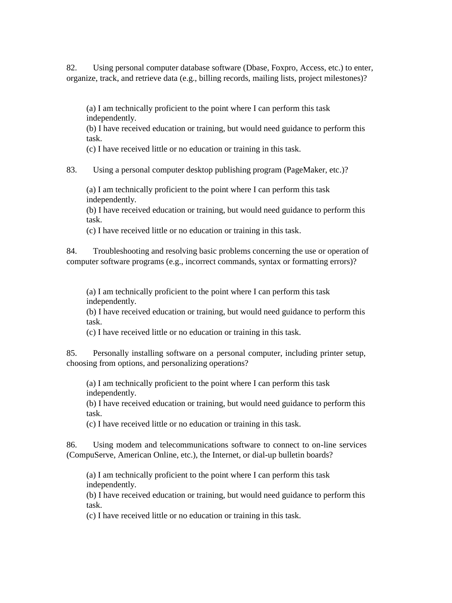82. Using personal computer database software (Dbase, Foxpro, Access, etc.) to enter, organize, track, and retrieve data (e.g., billing records, mailing lists, project milestones)?

(a) I am technically proficient to the point where I can perform this task independently.

(b) I have received education or training, but would need guidance to perform this task.

(c) I have received little or no education or training in this task.

83. Using a personal computer desktop publishing program (PageMaker, etc.)?

(a) I am technically proficient to the point where I can perform this task independently.

(b) I have received education or training, but would need guidance to perform this task.

(c) I have received little or no education or training in this task.

84. Troubleshooting and resolving basic problems concerning the use or operation of computer software programs (e.g., incorrect commands, syntax or formatting errors)?

(a) I am technically proficient to the point where I can perform this task independently.

(b) I have received education or training, but would need guidance to perform this task.

(c) I have received little or no education or training in this task.

85. Personally installing software on a personal computer, including printer setup, choosing from options, and personalizing operations?

(a) I am technically proficient to the point where I can perform this task independently.

(b) I have received education or training, but would need guidance to perform this task.

(c) I have received little or no education or training in this task.

86. Using modem and telecommunications software to connect to on-line services (CompuServe, American Online, etc.), the Internet, or dial-up bulletin boards?

(a) I am technically proficient to the point where I can perform this task independently.

(b) I have received education or training, but would need guidance to perform this task.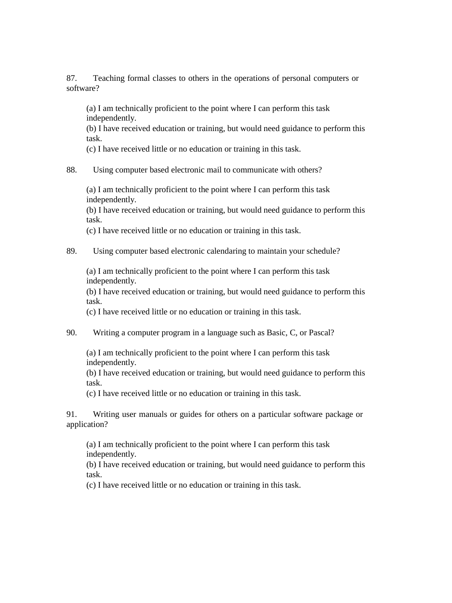87. Teaching formal classes to others in the operations of personal computers or software?

(a) I am technically proficient to the point where I can perform this task independently.

(b) I have received education or training, but would need guidance to perform this task.

(c) I have received little or no education or training in this task.

### 88. Using computer based electronic mail to communicate with others?

(a) I am technically proficient to the point where I can perform this task independently.

(b) I have received education or training, but would need guidance to perform this task.

(c) I have received little or no education or training in this task.

### 89. Using computer based electronic calendaring to maintain your schedule?

(a) I am technically proficient to the point where I can perform this task independently.

(b) I have received education or training, but would need guidance to perform this task.

(c) I have received little or no education or training in this task.

### 90. Writing a computer program in a language such as Basic, C, or Pascal?

(a) I am technically proficient to the point where I can perform this task independently.

(b) I have received education or training, but would need guidance to perform this task.

(c) I have received little or no education or training in this task.

91. Writing user manuals or guides for others on a particular software package or application?

(a) I am technically proficient to the point where I can perform this task independently.

(b) I have received education or training, but would need guidance to perform this task.